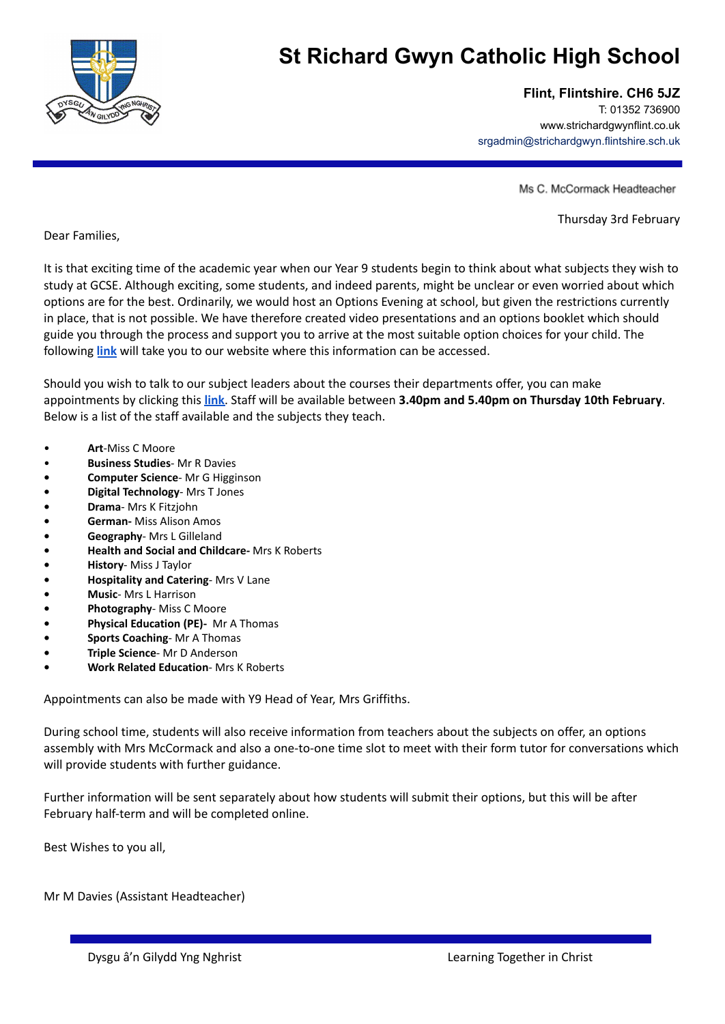

## **St Richard Gwyn Catholic High School**

## **Flint, Flintshire. CH6 5JZ**

T: 01352 736900 www.strichardgwynflint.co.uk srgadmin@strichardgwyn.flintshire.sch.uk

Ms C. McCormack Headteacher

Thursday 3rd February

Dear Families,

It is that exciting time of the academic year when our Year 9 students begin to think about what subjects they wish to study at GCSE. Although exciting, some students, and indeed parents, might be unclear or even worried about which options are for the best. Ordinarily, we would host an Options Evening at school, but given the restrictions currently in place, that is not possible. We have therefore created video presentations and an options booklet which should guide you through the process and support you to arrive at the most suitable option choices for your child. The following **[link](https://www.strichardgwynflint.co.uk/ks4options)** will take you to our website where this information can be accessed.

Should you wish to talk to our subject leaders about the courses their departments offer, you can make appointments by clicking this **[link](https://outlook.office365.com/owa/calendar/StRichardGwynCatholicHighSchoolCopy@hwbwave15.onmicrosoft.com/bookings/s/wgi6BJSvfUir2EwunufACg2)**. Staff will be available between **3.40pm and 5.40pm on Thursday 10th February**. Below is a list of the staff available and the subjects they teach.

- **Art**-Miss C Moore
- **Business Studies** Mr R Davies
- **• Computer Science** Mr G Higginson
- **• Digital Technology** Mrs T Jones
- **• Drama** Mrs K Fitzjohn
- **• German-** Miss Alison Amos
- **• Geography** Mrs L Gilleland
- **• Health and Social and Childcare-** Mrs K Roberts
- **• History** Miss J Taylor
- **• Hospitality and Catering** Mrs V Lane
- **• Music** Mrs L Harrison
- **• Photography** Miss C Moore
- **• Physical Education (PE)-** Mr A Thomas
- **• Sports Coaching** Mr A Thomas
- **• Triple Science** Mr D Anderson
- **• Work Related Education** Mrs K Roberts

Appointments can also be made with Y9 Head of Year, Mrs Griffiths.

During school time, students will also receive information from teachers about the subjects on offer, an options assembly with Mrs McCormack and also a one-to-one time slot to meet with their form tutor for conversations which will provide students with further guidance.

Further information will be sent separately about how students will submit their options, but this will be after February half-term and will be completed online.

Best Wishes to you all,

Mr M Davies (Assistant Headteacher)

Dysgu â'n Gilydd Yng Nghrist Learning Together in Christ